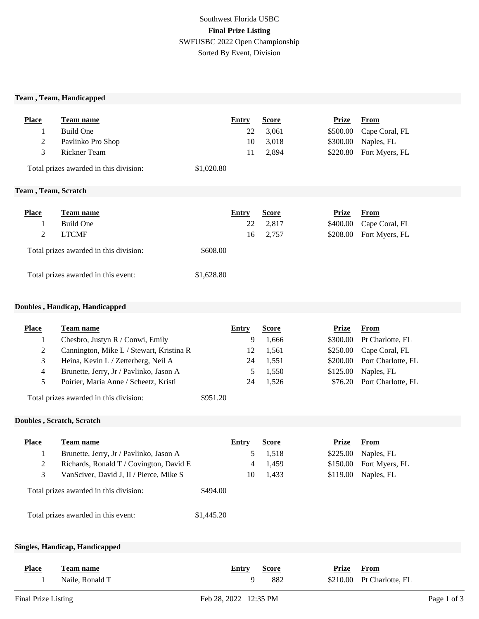# Southwest Florida USBC **Final Prize Listing** SWFUSBC 2022 Open Championship Sorted By Event, Division

#### **Team , Team, Handicapped**

| <b>Place</b>                        | <b>Team name</b>                       |            | <b>Entry</b> | <b>Score</b> | Prize    | From           |
|-------------------------------------|----------------------------------------|------------|--------------|--------------|----------|----------------|
| $\perp$                             | Build One                              |            | 22           | 3,061        | \$500.00 | Cape Coral, FL |
| 2                                   | Pavlinko Pro Shop                      |            | 10           | 3,018        | \$300.00 | Naples, FL     |
| 3                                   | <b>Rickner Team</b>                    |            | 11           | 2,894        | \$220.80 | Fort Myers, FL |
|                                     | Total prizes awarded in this division: | \$1,020.80 |              |              |          |                |
| Team, Team, Scratch                 |                                        |            |              |              |          |                |
| <b>Place</b>                        | Team name                              |            | <b>Entry</b> | <b>Score</b> | Prize    | <b>From</b>    |
|                                     | <b>Build One</b>                       |            | 22           | 2,817        | \$400.00 | Cape Coral, FL |
| 2                                   | <b>LTCMF</b>                           |            | 16           | 2,757        | \$208.00 | Fort Myers, FL |
|                                     | Total prizes awarded in this division: | \$608.00   |              |              |          |                |
| Total prizes awarded in this event: |                                        | \$1,628.80 |              |              |          |                |

#### **Doubles , Handicap, Handicapped**

| <b>Place</b>   | Team name                                |            | Entry        | <b>Score</b> | <b>Prize</b> | <b>From</b>        |
|----------------|------------------------------------------|------------|--------------|--------------|--------------|--------------------|
| 1              | Chesbro, Justyn R / Conwi, Emily         |            | 9            | 1,666        | \$300.00     | Pt Charlotte, FL   |
| $\mathbf{2}$   | Cannington, Mike L / Stewart, Kristina R |            | 12           | 1,561        | \$250.00     | Cape Coral, FL     |
| 3              | Heina, Kevin L / Zetterberg, Neil A      |            | 24           | 1,551        | \$200.00     | Port Charlotte, FL |
| $\overline{4}$ | Brunette, Jerry, Jr / Pavlinko, Jason A  |            | 5            | 1,550        | \$125.00     | Naples, FL         |
| 5              | Poirier, Maria Anne / Scheetz, Kristi    |            | 24           | 1,526        | \$76.20      | Port Charlotte, FL |
|                | Total prizes awarded in this division:   | \$951.20   |              |              |              |                    |
|                | Doubles, Scratch, Scratch                |            |              |              |              |                    |
| <b>Place</b>   | Team name                                |            | Entry        | <b>Score</b> | <b>Prize</b> | <b>From</b>        |
| 1              | Brunette, Jerry, Jr / Pavlinko, Jason A  |            | 5            | 1,518        | \$225.00     | Naples, FL         |
| $\overline{c}$ | Richards, Ronald T / Covington, David E  |            | 4            | 1,459        | \$150.00     | Fort Myers, FL     |
| 3              | VanSciver, David J, II / Pierce, Mike S  |            | 10           | 1,433        | \$119.00     | Naples, FL         |
|                | Total prizes awarded in this division:   | \$494.00   |              |              |              |                    |
|                | Total prizes awarded in this event:      | \$1,445.20 |              |              |              |                    |
|                | Singles, Handicap, Handicapped           |            |              |              |              |                    |
|                |                                          |            |              |              |              |                    |
| <b>Place</b>   | <b>Team name</b>                         |            | <b>Entry</b> | <b>Score</b> | <b>Prize</b> | <b>From</b>        |
| 1              | Naile, Ronald T                          |            | 9            | 882          | \$210.00     | Pt Charlotte, FL   |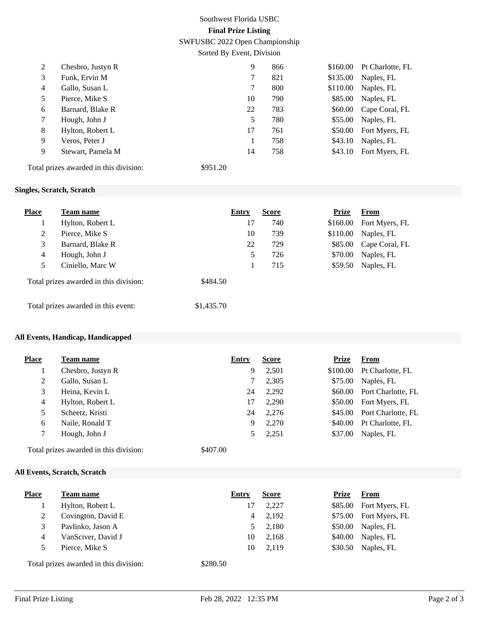# Southwest Florida USBC **Final Prize Listing**

SWFUSBC 2022 Open Championship

Sorted By Event, Division

| 2              | Chesbro, Justyn R                      |          | 9  | 866 | \$160.00 | Pt Charlotte, FL |
|----------------|----------------------------------------|----------|----|-----|----------|------------------|
| 3              | Funk, Ervin M                          |          |    | 821 | \$135.00 | Naples, FL       |
| $\overline{4}$ | Gallo, Susan L                         |          |    | 800 | \$110.00 | Naples, FL       |
| 5              | Pierce, Mike S                         |          | 10 | 790 | \$85.00  | Naples, FL       |
| 6              | Barnard, Blake R                       |          | 22 | 783 | \$60.00  | Cape Coral, FL   |
| 7              | Hough, John J                          |          | 5  | 780 | \$55.00  | Naples, FL       |
| 8              | Hylton, Robert L                       |          | 17 | 761 | \$50.00  | Fort Myers, FL   |
| 9              | Veros, Peter J                         |          |    | 758 | \$43.10  | Naples, FL       |
| 9              | Stewart, Pamela M                      |          | 14 | 758 | \$43.10  | Fort Myers, FL   |
|                | Total prizes awarded in this division: | \$951.20 |    |     |          |                  |

#### **Singles, Scratch, Scratch**

| <b>Place</b>                           | <b>Team name</b> | Entry      |    | <b>Score</b> | <b>Prize</b> | <b>From</b>    |
|----------------------------------------|------------------|------------|----|--------------|--------------|----------------|
| T.                                     | Hylton, Robert L |            | 17 | 740          | \$160.00     | Fort Myers, FL |
| 2                                      | Pierce, Mike S   |            | 10 | 739          | \$110.00     | Naples, FL     |
| 3                                      | Barnard, Blake R |            | 22 | 729          | \$85.00      | Cape Coral, FL |
| $\overline{4}$                         | Hough, John J    |            | 5  | 726          | \$70.00      | Naples, FL     |
| 5                                      | Ciniello, Marc W |            |    | 715          | \$59.50      | Naples, FL     |
| Total prizes awarded in this division: |                  | \$484.50   |    |              |              |                |
| Total prizes awarded in this event:    |                  | \$1,435.70 |    |              |              |                |

#### **All Events, Handicap, Handicapped**

| <b>Place</b> | <b>Team name</b>  | Entry | <b>Score</b> | Prize    | <b>From</b>        |
|--------------|-------------------|-------|--------------|----------|--------------------|
|              | Chesbro, Justyn R | 9     | 2,501        | \$100.00 | Pt Charlotte, FL   |
| 2            | Gallo, Susan L    |       | 2,305        | \$75.00  | Naples, FL         |
| 3            | Heina, Kevin L    | 24    | 2,292        | \$60.00  | Port Charlotte, FL |
| 4            | Hylton, Robert L  | 17    | 2,290        | \$50.00  | Fort Myers, FL     |
| 5            | Scheetz, Kristi   | 24    | 2,276        | \$45.00  | Port Charlotte, FL |
| 6            | Naile, Ronald T   | 9     | 2,270        | \$40.00  | Pt Charlotte, FL   |
| 7            | Hough, John J     |       | 2,251        | \$37.00  | Naples, FL         |
|              | .<br>.            |       |              |          |                    |

Total prizes awarded in this division: \$407.00

### **All Events, Scratch, Scratch**

| <b>Place</b> | <b>Team name</b>                       | Entry    | <b>Score</b> | <b>Prize</b> | From                   |
|--------------|----------------------------------------|----------|--------------|--------------|------------------------|
|              | Hylton, Robert L                       | 17       | 2,227        |              | \$85.00 Fort Myers, FL |
| 2            | Covington, David E                     | 4        | 2,192        |              | \$75.00 Fort Myers, FL |
| 3            | Pavlinko, Jason A                      |          | 2,180        |              | \$50.00 Naples, FL     |
| 4            | VanSciver, David J                     | 10       | 2,168        | \$40.00      | Naples, FL             |
| 5            | Pierce, Mike S                         | 10       | 2,119        | \$30.50      | Naples, FL             |
|              | Total prizes awarded in this division: | \$280.50 |              |              |                        |